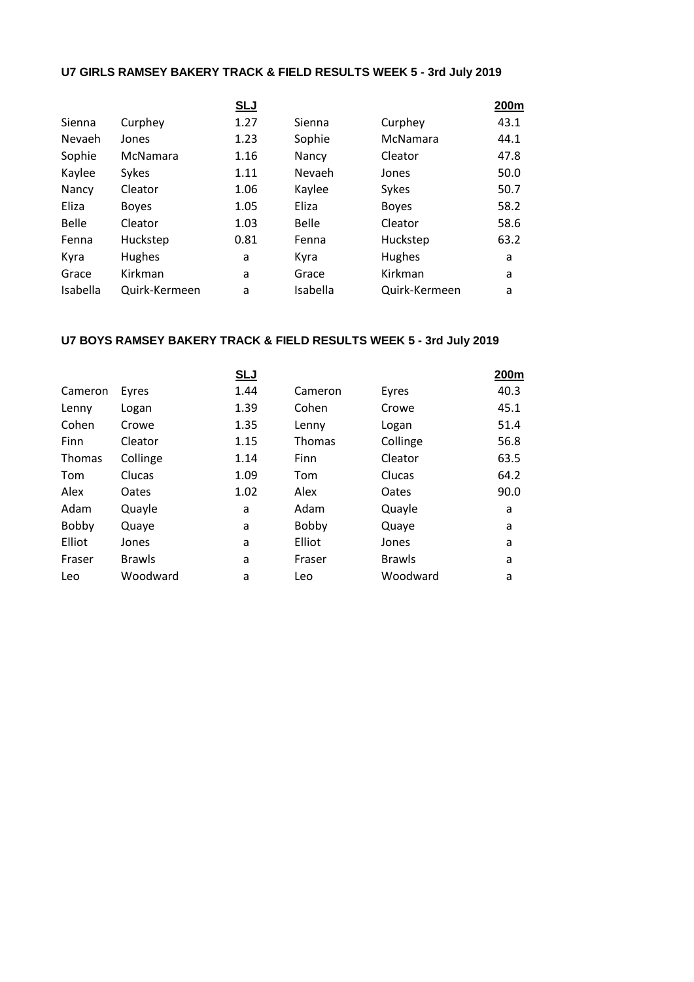## **U7 GIRLS RAMSEY BAKERY TRACK & FIELD RESULTS WEEK 5 - 3rd July 2019**

|               | <b>SLJ</b> |              |               | 200m |
|---------------|------------|--------------|---------------|------|
| Curphey       | 1.27       | Sienna       | Curphey       | 43.1 |
| Jones         | 1.23       | Sophie       | McNamara      | 44.1 |
| McNamara      | 1.16       | Nancy        | Cleator       | 47.8 |
| Sykes         | 1.11       | Nevaeh       | Jones         | 50.0 |
| Cleator       | 1.06       | Kaylee       | Sykes         | 50.7 |
| <b>Boyes</b>  | 1.05       | Eliza        | <b>Boyes</b>  | 58.2 |
| Cleator       | 1.03       | <b>Belle</b> | Cleator       | 58.6 |
| Huckstep      | 0.81       | Fenna        | Huckstep      | 63.2 |
| Hughes        | a          | Kyra         | <b>Hughes</b> | a    |
| Kirkman       | a          | Grace        | Kirkman       | a    |
| Quirk-Kermeen | a          | Isabella     | Quirk-Kermeen | a    |
|               |            |              |               |      |

## **U7 BOYS RAMSEY BAKERY TRACK & FIELD RESULTS WEEK 5 - 3rd July 2019**

|               | <u>SLJ</u> |               |               | 200m |
|---------------|------------|---------------|---------------|------|
| Eyres         | 1.44       | Cameron       | Eyres         | 40.3 |
| Logan         | 1.39       | Cohen         | Crowe         | 45.1 |
| Crowe         | 1.35       | Lenny         | Logan         | 51.4 |
| Cleator       | 1.15       | <b>Thomas</b> | Collinge      | 56.8 |
| Collinge      | 1.14       | Finn          | Cleator       | 63.5 |
| Clucas        | 1.09       | Tom           | Clucas        | 64.2 |
| Oates         | 1.02       | Alex          | Oates         | 90.0 |
| Quayle        | a          | Adam          | Quayle        | a    |
| Quaye         | a          | Bobby         | Quaye         | a    |
| Jones         | a          | Elliot        | Jones         | a    |
| <b>Brawls</b> | a          | Fraser        | <b>Brawls</b> | a    |
| Woodward      | a          | Leo           | Woodward      | a    |
|               |            |               |               |      |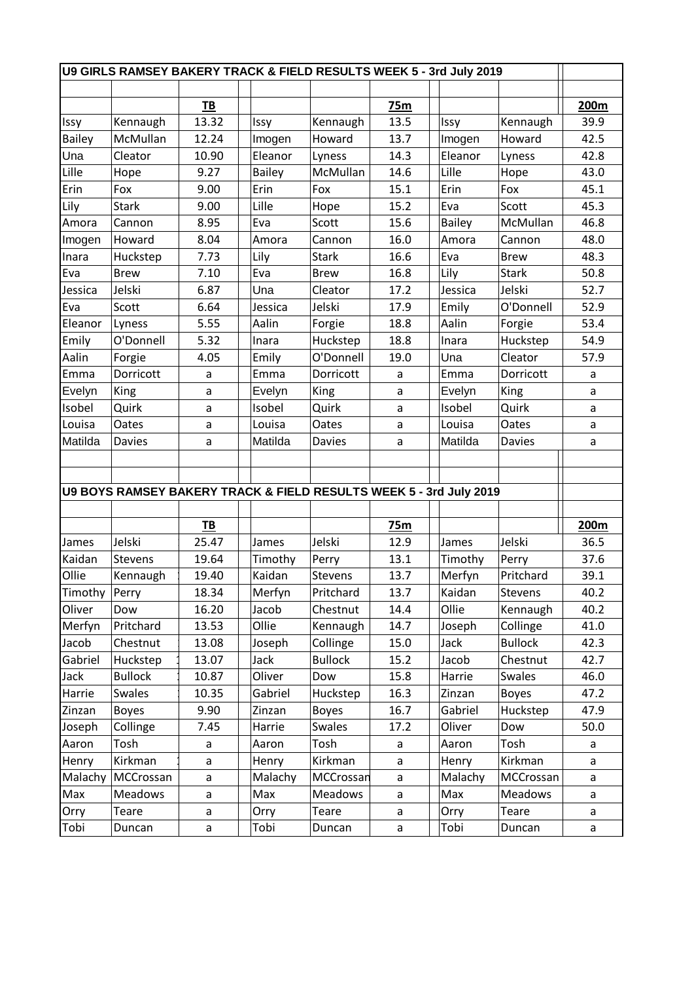| U9 GIRLS RAMSEY BAKERY TRACK & FIELD RESULTS WEEK 5 - 3rd July 2019 |                                                                    |           |               |                |      |               |                |      |
|---------------------------------------------------------------------|--------------------------------------------------------------------|-----------|---------------|----------------|------|---------------|----------------|------|
|                                                                     |                                                                    |           |               |                |      |               |                |      |
|                                                                     |                                                                    | <u>ТВ</u> |               |                | 75m  |               |                | 200m |
| Issy                                                                | Kennaugh                                                           | 13.32     | Issy          | Kennaugh       | 13.5 | Issy          | Kennaugh       | 39.9 |
| <b>Bailey</b>                                                       | McMullan                                                           | 12.24     | Imogen        | Howard         | 13.7 | Imogen        | Howard         | 42.5 |
| Una                                                                 | Cleator                                                            | 10.90     | Eleanor       | Lyness         | 14.3 | Eleanor       | Lyness         | 42.8 |
| Lille                                                               | Hope                                                               | 9.27      | <b>Bailey</b> | McMullan       | 14.6 | Lille         | Hope           | 43.0 |
| Erin                                                                | Fox                                                                | 9.00      | Erin          | Fox            | 15.1 | Erin          | Fox            | 45.1 |
| Lily                                                                | <b>Stark</b>                                                       | 9.00      | Lille         | Hope           | 15.2 | Eva           | Scott          | 45.3 |
| Amora                                                               | Cannon                                                             | 8.95      | Eva           | Scott          | 15.6 | <b>Bailey</b> | McMullan       | 46.8 |
| Imogen                                                              | Howard                                                             | 8.04      | Amora         | Cannon         | 16.0 | Amora         | Cannon         | 48.0 |
| Inara                                                               | Huckstep                                                           | 7.73      | Lily          | <b>Stark</b>   | 16.6 | Eva           | <b>Brew</b>    | 48.3 |
| Eva                                                                 | <b>Brew</b>                                                        | 7.10      | Eva           | <b>Brew</b>    | 16.8 | Lily          | <b>Stark</b>   | 50.8 |
| Jessica                                                             | Jelski                                                             | 6.87      | Una           | Cleator        | 17.2 | Jessica       | Jelski         | 52.7 |
| Eva                                                                 | Scott                                                              | 6.64      | Jessica       | Jelski         | 17.9 | Emily         | O'Donnell      | 52.9 |
| Eleanor                                                             | Lyness                                                             | 5.55      | Aalin         | Forgie         | 18.8 | Aalin         | Forgie         | 53.4 |
| Emily                                                               | O'Donnell                                                          | 5.32      | Inara         | Huckstep       | 18.8 | Inara         | Huckstep       | 54.9 |
| Aalin                                                               | Forgie                                                             | 4.05      | Emily         | O'Donnell      | 19.0 | Una           | Cleator        | 57.9 |
| Emma                                                                | Dorricott                                                          | a         | Emma          | Dorricott      | a    | Emma          | Dorricott      | a    |
| Evelyn                                                              | King                                                               | a         | Evelyn        | King           | a    | Evelyn        | King           | a    |
| Isobel                                                              | Quirk                                                              | a         | Isobel        | Quirk          | a    | Isobel        | Quirk          | a    |
| Louisa                                                              | Oates                                                              | a         | Louisa        | Oates          | a    | Louisa        | Oates          | a    |
| Matilda                                                             | <b>Davies</b>                                                      | a         | Matilda       | Davies         | a    | Matilda       | <b>Davies</b>  | a    |
|                                                                     |                                                                    |           |               |                |      |               |                |      |
|                                                                     |                                                                    |           |               |                |      |               |                |      |
|                                                                     | U9 BOYS RAMSEY BAKERY TRACK & FIELD RESULTS WEEK 5 - 3rd July 2019 |           |               |                |      |               |                |      |
|                                                                     |                                                                    |           |               |                |      |               |                |      |
|                                                                     |                                                                    | <b>TB</b> |               |                | 75m  |               |                | 200m |
| James                                                               | Jelski                                                             | 25.47     | James         | Jelski         | 12.9 | James         | Jelski         | 36.5 |
| Kaidan                                                              | Stevens                                                            | 19.64     | Timothy       | Perry          | 13.1 | Timothy       | Perry          | 37.6 |
| Ollie                                                               | Kennaugh                                                           | 19.40     | Kaidan        | Stevens        | 13.7 | Merfyn        | Pritchard      | 39.1 |
| Timothy   Perry                                                     |                                                                    | 18.34     | Merfyn        | Pritchard      | 13.7 | Kaidan        | Stevens        | 40.2 |
| Oliver                                                              | Dow                                                                | 16.20     | Jacob         | Chestnut       | 14.4 | Ollie         | Kennaugh       | 40.2 |
| Merfyn                                                              | Pritchard                                                          | 13.53     | Ollie         | Kennaugh       | 14.7 | Joseph        | Collinge       | 41.0 |
| Jacob                                                               | Chestnut                                                           | 13.08     | Joseph        | Collinge       | 15.0 | Jack          | <b>Bullock</b> | 42.3 |
| Gabriel                                                             | Huckstep                                                           | 13.07     | Jack          | <b>Bullock</b> | 15.2 | Jacob         | Chestnut       | 42.7 |
| Jack                                                                | <b>Bullock</b>                                                     | 10.87     | Oliver        | Dow            | 15.8 | Harrie        | Swales         | 46.0 |
| Harrie                                                              | Swales                                                             | 10.35     | Gabriel       | Huckstep       | 16.3 | Zinzan        | <b>Boyes</b>   | 47.2 |
| Zinzan                                                              | <b>Boyes</b>                                                       | 9.90      | Zinzan        | <b>Boyes</b>   | 16.7 | Gabriel       | Huckstep       | 47.9 |
| Joseph                                                              | Collinge                                                           | 7.45      | Harrie        | Swales         | 17.2 | Oliver        | Dow            | 50.0 |
| Aaron                                                               | Tosh                                                               | a         | Aaron         | Tosh           | a    | Aaron         | Tosh           | a    |
| Henry                                                               | Kirkman                                                            | a         | Henry         | Kirkman        | a    | Henry         | Kirkman        | a    |
| Malachy                                                             | MCCrossan                                                          |           | Malachy       | MCCrossan      |      | Malachy       | MCCrossan      |      |
|                                                                     |                                                                    | a         | Max           | <b>Meadows</b> | a    |               |                | a    |
| Max                                                                 | Meadows                                                            | a         |               |                | a    | Max           | Meadows        | a    |
| Orry                                                                | Teare                                                              | a         | Orry          | Teare          | a    | Orry          | Teare          | a    |
| Tobi                                                                | Duncan                                                             | a         | Tobi          | Duncan         | a    | Tobi          | Duncan         | a    |